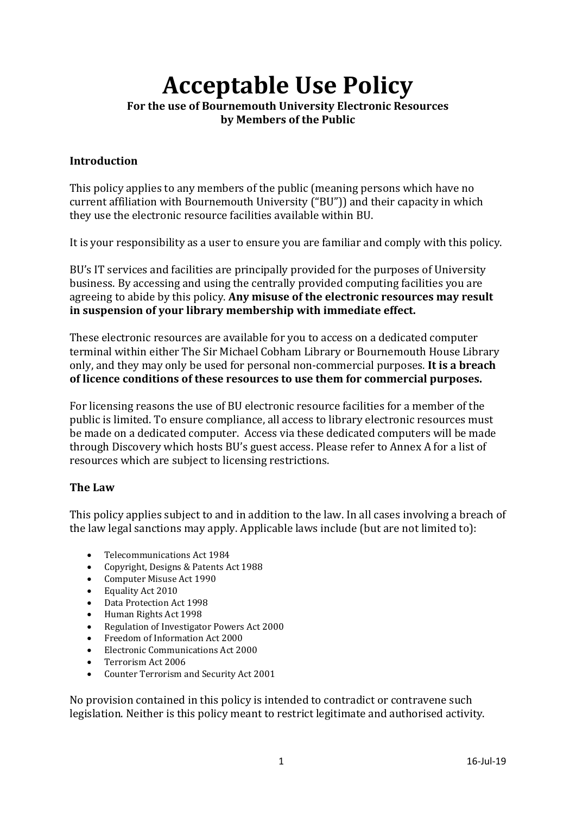# **Acceptable Use Policy For the use of Bournemouth University Electronic Resources**

**by Members of the Public**

#### **Introduction**

This policy applies to any members of the public (meaning persons which have no current affiliation with Bournemouth University ("BU")) and their capacity in which they use the electronic resource facilities available within BU.

It is your responsibility as a user to ensure you are familiar and comply with this policy.

BU's IT services and facilities are principally provided for the purposes of University business. By accessing and using the centrally provided computing facilities you are agreeing to abide by this policy. **Any misuse of the electronic resources may result in suspension of your library membership with immediate effect.** 

These electronic resources are available for you to access on a dedicated computer terminal within either The Sir Michael Cobham Library or Bournemouth House Library only, and they may only be used for personal non-commercial purposes. **It is a breach of licence conditions of these resources to use them for commercial purposes.**

For licensing reasons the use of BU electronic resource facilities for a member of the public is limited. To ensure compliance, all access to library electronic resources must be made on a dedicated computer. Access via these dedicated computers will be made through Discovery which hosts BU's guest access. Please refer to Annex A for a list of resources which are subject to licensing restrictions.

## **The Law**

This policy applies subject to and in addition to the law. In all cases involving a breach of the law legal sanctions may apply. Applicable laws include (but are not limited to):

- Telecommunications Act 1984<br>• Convright, Designs & Patents A
- Copyright, Designs & Patents Act 1988<br>• Computer Misuse Act 1990
- Computer Misuse Act 1990<br>• Equality Act 2010
- Equality Act 2010<br>• Data Protection Ac
- Data Protection Act 1998<br>• Human Rights Act 1998
- Human Rights Act 1998
- Regulation of Investigator Powers Act 2000
- Freedom of Information Act 2000
- Electronic Communications Act 2000
- Terrorism Act 2006
- Counter Terrorism and Security Act 2001

No provision contained in this policy is intended to contradict or contravene such legislation. Neither is this policy meant to restrict legitimate and authorised activity.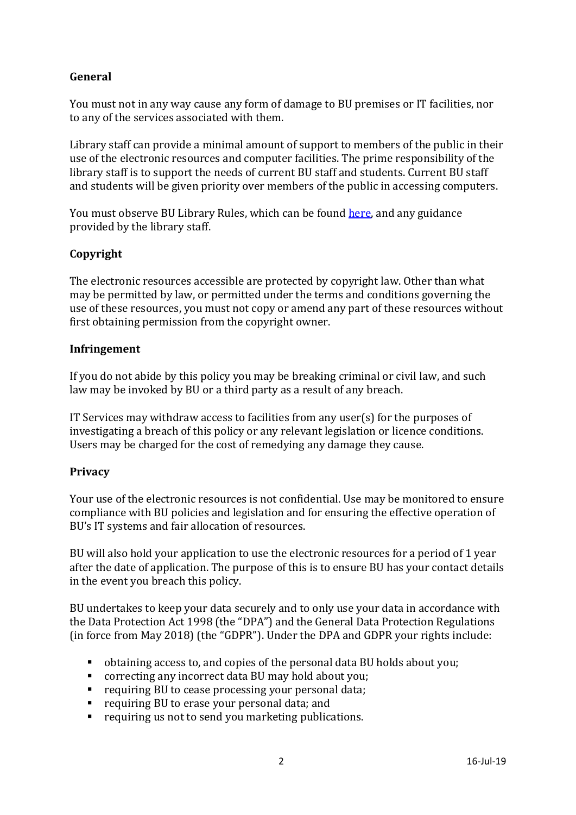# **General**

You must not in any way cause any form of damage to BU premises or IT facilities, nor to any of the services associated with them.

Library staff can provide a minimal amount of support to members of the public in their use of the electronic resources and computer facilities. The prime responsibility of the library staff is to support the needs of current BU staff and students. Current BU staff and students will be given priority over members of the public in accessing computers.

You must observe BU Library Rules, which can be found [here,](https://www.bournemouth.ac.uk/sites/default/files/asset/document/library-rules.pdf) and any guidance provided by the library staff.

# **Copyright**

The electronic resources accessible are protected by copyright law. Other than what may be permitted by law, or permitted under the terms and conditions governing the use of these resources, you must not copy or amend any part of these resources without first obtaining permission from the copyright owner.

## **Infringement**

If you do not abide by this policy you may be breaking criminal or civil law, and such law may be invoked by BU or a third party as a result of any breach.

IT Services may withdraw access to facilities from any user(s) for the purposes of investigating a breach of this policy or any relevant legislation or licence conditions. Users may be charged for the cost of remedying any damage they cause.

## **Privacy**

Your use of the electronic resources is not confidential. Use may be monitored to ensure compliance with BU policies and legislation and for ensuring the effective operation of BU's IT systems and fair allocation of resources.

BU will also hold your application to use the electronic resources for a period of 1 year after the date of application. The purpose of this is to ensure BU has your contact details in the event you breach this policy.

BU undertakes to keep your data securely and to only use your data in accordance with the Data Protection Act 1998 (the "DPA") and the General Data Protection Regulations (in force from May 2018) (the "GDPR"). Under the DPA and GDPR your rights include:

- obtaining access to, and copies of the personal data BU holds about you;<br>■ correcting any incorrect data BU may hold about you;
- **CORREGISTM** correcting any incorrect data BU may hold about you;<br>**CORPENDED FEATA** requiring BU to cease processing your personal data;
- requiring BU to cease processing your personal data;
- requiring BU to erase your personal data; and<br>■ requiring us not to send you marketing publica
- requiring us not to send you marketing publications.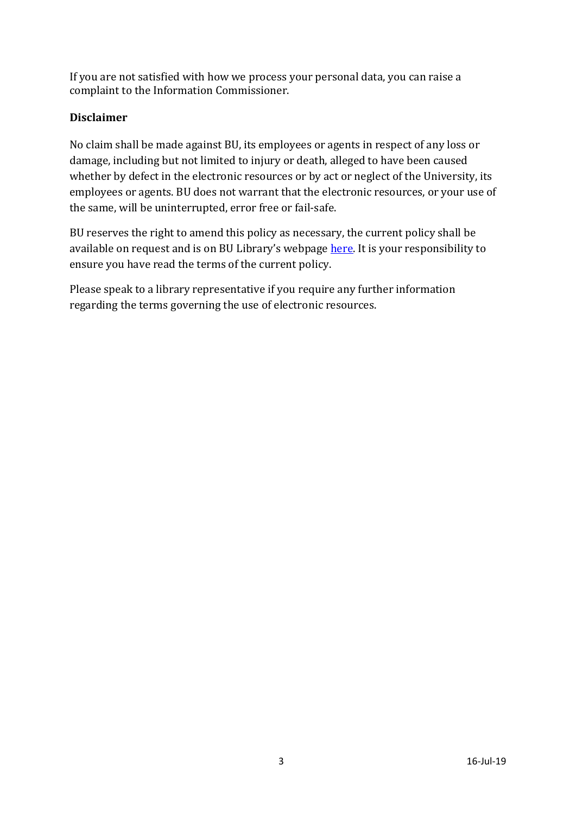If you are not satisfied with how we process your personal data, you can raise a complaint to the Information Commissioner.

# **Disclaimer**

No claim shall be made against BU, its employees or agents in respect of any loss or damage, including but not limited to injury or death, alleged to have been caused whether by defect in the electronic resources or by act or neglect of the University, its employees or agents. BU does not warrant that the electronic resources, or your use of the same, will be uninterrupted, error free or fail-safe.

BU reserves the right to amend this policy as necessary, the current policy shall be available on request and is on BU Library's webpag[e here.](https://www.bournemouth.ac.uk/students/library/guest-visitor-information) It is your responsibility to ensure you have read the terms of the current policy.

Please speak to a library representative if you require any further information regarding the terms governing the use of electronic resources.